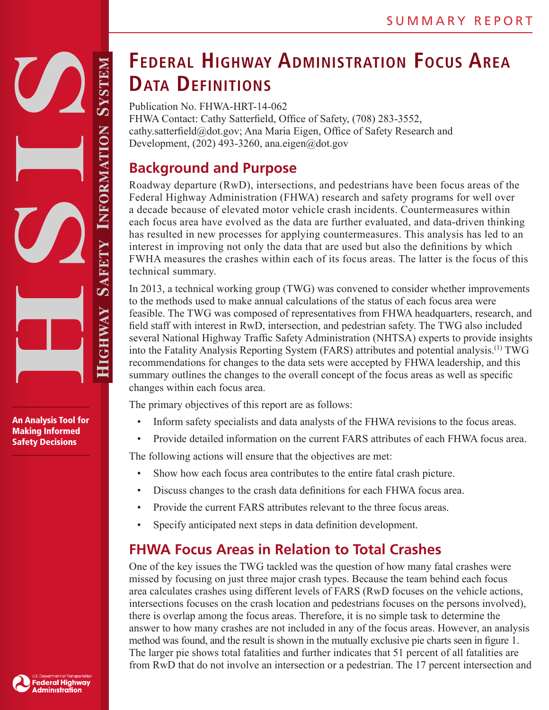An Analysis Tool for Making Informed Safety Decisions

# **Federal Highway Administration Focus Area Data Definitions**

Publication No. FHWA-HRT-14-062 FHWA Contact: Cathy Satterfield, Office of Safety, (708) 283-3552, cathy.satterfield@dot.gov; Ana Maria Eigen, Office of Safety Research and Development,  $(202)$  493-3260, ana.eigen@dot.gov

### **Background and Purpose**

Roadway departure (RwD), intersections, and pedestrians have been focus areas of the Federal Highway Administration (FHWA) research and safety programs for well over a decade because of elevated motor vehicle crash incidents. Countermeasures within each focus area have evolved as the data are further evaluated, and data-driven thinking has resulted in new processes for applying countermeasures. This analysis has led to an interest in improving not only the data that are used but also the definitions by which FWHA measures the crashes within each of its focus areas. The latter is the focus of this technical summary.

In 2013, a technical working group (TWG) was convened to consider whether improvements to the methods used to make annual calculations of the status of each focus area were feasible. The TWG was composed of representatives from FHWA headquarters, research, and field staff with interest in RwD, intersection, and pedestrian safety. The TWG also included several National Highway Traffic Safety Administration (NHTSA) experts to provide insights into the Fatality Analysis Reporting System (FARS) attributes and potential analysis.<sup>(1)</sup> TWG recommendations for changes to the data sets were accepted by FHWA leadership, and this summary outlines the changes to the overall concept of the focus areas as well as specific changes within each focus area.

The primary objectives of this report are as follows:

- Inform safety specialists and data analysts of the FHWA revisions to the focus areas.
- Provide detailed information on the current FARS attributes of each FHWA focus area.

The following actions will ensure that the objectives are met:

- Show how each focus area contributes to the entire fatal crash picture.
- Discuss changes to the crash data definitions for each FHWA focus area.
- Provide the current FARS attributes relevant to the three focus areas.
- Specify anticipated next steps in data definition development.

### **FHWA Focus Areas in Relation to Total Crashes**

One of the key issues the TWG tackled was the question of how many fatal crashes were missed by focusing on just three major crash types. Because the team behind each focus area calculates crashes using different levels of FARS (RwD focuses on the vehicle actions, intersections focuses on the crash location and pedestrians focuses on the persons involved), there is overlap among the focus areas. Therefore, it is no simple task to determine the answer to how many crashes are not included in any of the focus areas. However, an analysis method was found, and the result is shown in the mutually exclusive pie charts seen in figure 1. The larger pie shows total fatalities and further indicates that 51 percent of all fatalities are from RwD that do not involve an intersection or a pedestrian. The 17 percent intersection and

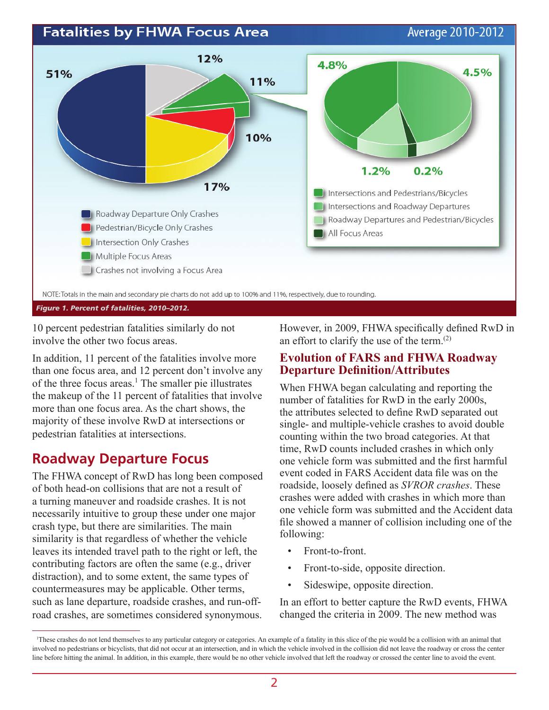#### **Fatalities by FHWA Focus Area**

Average 2010-2012



10 percent pedestrian fatalities similarly do not involve the other two focus areas.

In addition, 11 percent of the fatalities involve more than one focus area, and 12 percent don't involve any of the three focus areas.<sup>1</sup> The smaller pie illustrates the makeup of the 11 percent of fatalities that involve more than one focus area. As the chart shows, the majority of these involve RwD at intersections or pedestrian fatalities at intersections.

### **Roadway Departure Focus**

The FHWA concept of RwD has long been composed of both head-on collisions that are not a result of a turning maneuver and roadside crashes. It is not necessarily intuitive to group these under one major crash type, but there are similarities. The main similarity is that regardless of whether the vehicle leaves its intended travel path to the right or left, the contributing factors are often the same (e.g., driver distraction), and to some extent, the same types of countermeasures may be applicable. Other terms, such as lane departure, roadside crashes, and run-offroad crashes, are sometimes considered synonymous. However, in 2009, FHWA specifically defined RwD in an effort to clarify the use of the term.(2)

#### **Evolution of FARS and FHWA Roadway Departure Definition/Attributes**

When FHWA began calculating and reporting the number of fatalities for RwD in the early 2000s, the attributes selected to define RwD separated out single- and multiple-vehicle crashes to avoid double counting within the two broad categories. At that time, RwD counts included crashes in which only one vehicle form was submitted and the first harmful event coded in FARS Accident data file was on the roadside, loosely defined as *SVROR crashes*. These crashes were added with crashes in which more than one vehicle form was submitted and the Accident data file showed a manner of collision including one of the following:

- Front-to-front.
- Front-to-side, opposite direction.
- Sideswipe, opposite direction.

In an effort to better capture the RwD events, FHWA changed the criteria in 2009. The new method was

<sup>1</sup>These crashes do not lend themselves to any particular category or categories. An example of a fatality in this slice of the pie would be a collision with an animal that involved no pedestrians or bicyclists, that did not occur at an intersection, and in which the vehicle involved in the collision did not leave the roadway or cross the center line before hitting the animal. In addition, in this example, there would be no other vehicle involved that left the roadway or crossed the center line to avoid the event.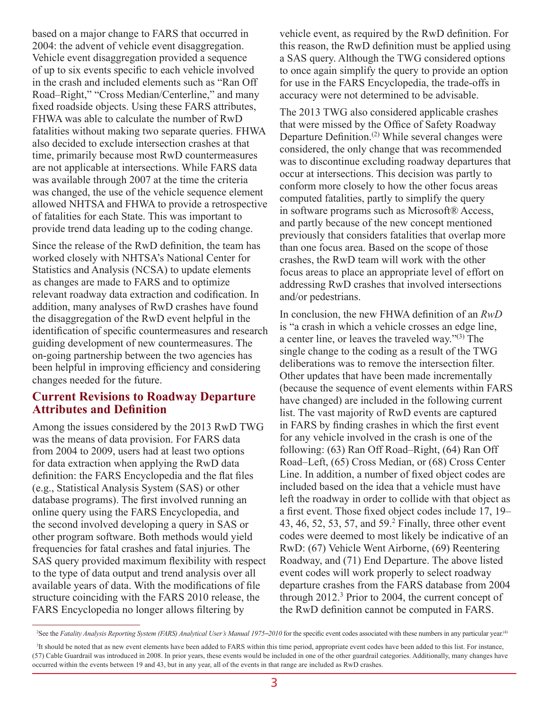based on a major change to FARS that occurred in 2004: the advent of vehicle event disaggregation. Vehicle event disaggregation provided a sequence of up to six events specific to each vehicle involved in the crash and included elements such as "Ran Off Road–Right," "Cross Median/Centerline," and many fixed roadside objects. Using these FARS attributes, FHWA was able to calculate the number of RwD fatalities without making two separate queries. FHWA also decided to exclude intersection crashes at that time, primarily because most RwD countermeasures are not applicable at intersections. While FARS data was available through 2007 at the time the criteria was changed, the use of the vehicle sequence element allowed NHTSA and FHWA to provide a retrospective of fatalities for each State. This was important to provide trend data leading up to the coding change.

Since the release of the RwD definition, the team has worked closely with NHTSA's National Center for Statistics and Analysis (NCSA) to update elements as changes are made to FARS and to optimize relevant roadway data extraction and codification. In addition, many analyses of RwD crashes have found the disaggregation of the RwD event helpful in the identification of specific countermeasures and research guiding development of new countermeasures. The on-going partnership between the two agencies has been helpful in improving efficiency and considering changes needed for the future.

#### **Current Revisions to Roadway Departure Attributes and Definition**

Among the issues considered by the 2013 RwD TWG was the means of data provision. For FARS data from 2004 to 2009, users had at least two options for data extraction when applying the RwD data definition: the FARS Encyclopedia and the flat files (e.g., Statistical Analysis System (SAS) or other database programs). The first involved running an online query using the FARS Encyclopedia, and the second involved developing a query in SAS or other program software. Both methods would yield frequencies for fatal crashes and fatal injuries. The SAS query provided maximum flexibility with respect to the type of data output and trend analysis over all available years of data. With the modifications of file structure coinciding with the FARS 2010 release, the FARS Encyclopedia no longer allows filtering by

vehicle event, as required by the RwD definition. For this reason, the RwD definition must be applied using a SAS query. Although the TWG considered options to once again simplify the query to provide an option for use in the FARS Encyclopedia, the trade-offs in accuracy were not determined to be advisable.

The 2013 TWG also considered applicable crashes that were missed by the Office of Safety Roadway Departure Definition.(2) While several changes were considered, the only change that was recommended was to discontinue excluding roadway departures that occur at intersections. This decision was partly to conform more closely to how the other focus areas computed fatalities, partly to simplify the query in software programs such as Microsoft® Access, and partly because of the new concept mentioned previously that considers fatalities that overlap more than one focus area. Based on the scope of those crashes, the RwD team will work with the other focus areas to place an appropriate level of effort on addressing RwD crashes that involved intersections and/or pedestrians.

In conclusion, the new FHWA definition of an *RwD* is "a crash in which a vehicle crosses an edge line, a center line, or leaves the traveled way."(3) The single change to the coding as a result of the TWG deliberations was to remove the intersection filter. Other updates that have been made incrementally (because the sequence of event elements within FARS have changed) are included in the following current list. The vast majority of RwD events are captured in FARS by finding crashes in which the first event for any vehicle involved in the crash is one of the following: (63) Ran Off Road–Right, (64) Ran Off Road–Left, (65) Cross Median, or (68) Cross Center Line. In addition, a number of fixed object codes are included based on the idea that a vehicle must have left the roadway in order to collide with that object as a first event. Those fixed object codes include 17, 19– 43, 46, 52, 53, 57, and  $59<sup>2</sup>$  Finally, three other event codes were deemed to most likely be indicative of an RwD: (67) Vehicle Went Airborne, (69) Reentering Roadway, and (71) End Departure. The above listed event codes will work properly to select roadway departure crashes from the FARS database from 2004 through 2012.<sup>3</sup> Prior to 2004, the current concept of the RwD definition cannot be computed in FARS.

<sup>&</sup>lt;sup>2</sup>See the *Fatality Analysis Reporting System (FARS) Analytical User's Manual 1975*-2010 for the specific event codes associated with these numbers in any particular year.<sup>(4)</sup>

<sup>&</sup>lt;sup>3</sup>It should be noted that as new event elements have been added to FARS within this time period, appropriate event codes have been added to this list. For instance, (57) Cable Guardrail was introduced in 2008. In prior years, these events would be included in one of the other guardrail categories. Additionally, many changes have occurred within the events between 19 and 43, but in any year, all of the events in that range are included as RwD crashes.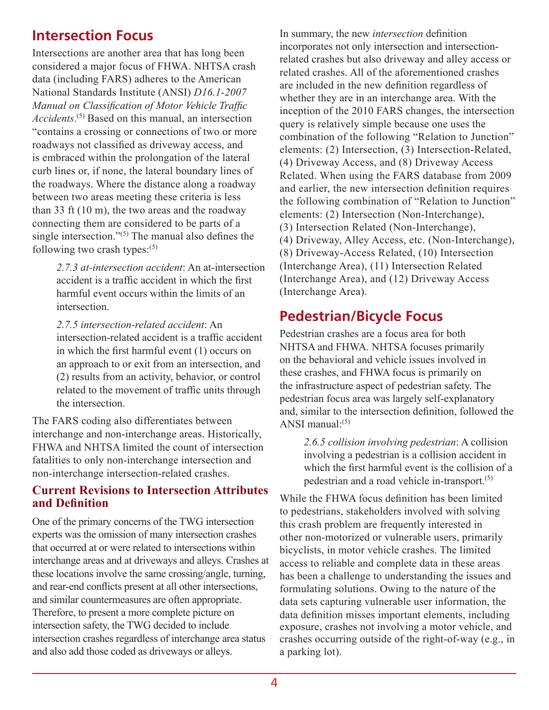### **Intersection Focus**

Intersections are another area that has long been considered a major focus of FHWA. NHTSA crash data (including FARS) adheres to the American National Standards Institute (ANSI) *D16.1-2007 Manual on Classification of Motor Vehicle Traffic Accidents*. (5) Based on this manual, an intersection "contains a crossing or connections of two or more roadways not classified as driveway access, and is embraced within the prolongation of the lateral curb lines or, if none, the lateral boundary lines of the roadways. Where the distance along a roadway between two areas meeting these criteria is less than 33 ft (10 m), the two areas and the roadway connecting them are considered to be parts of a single intersection." $(5)$  The manual also defines the following two crash types: $(5)$ 

> *2.7.3 at-intersection accident*: An at-intersection accident is a traffic accident in which the first harmful event occurs within the limits of an intersection.

> *2.7.5 intersection-related accident*: An intersection-related accident is a traffic accident in which the first harmful event (1) occurs on an approach to or exit from an intersection, and (2) results from an activity, behavior, or control related to the movement of traffic units through the intersection.

The FARS coding also differentiates between interchange and non-interchange areas. Historically, FHWA and NHTSA limited the count of intersection fatalities to only non-interchange intersection and non-interchange intersection-related crashes.

#### **Current Revisions to Intersection Attributes and Definition**

One of the primary concerns of the TWG intersection experts was the omission of many intersection crashes that occurred at or were related to intersections within interchange areas and at driveways and alleys. Crashes at these locations involve the same crossing/angle, turning, and rear-end conflicts present at all other intersections, and similar countermeasures are often appropriate. Therefore, to present a more complete picture on intersection safety, the TWG decided to include intersection crashes regardless of interchange area status and also add those coded as driveways or alleys.

In summary, the new *intersection* definition incorporates not only intersection and intersectionrelated crashes but also driveway and alley access or related crashes. All of the aforementioned crashes are included in the new definition regardless of whether they are in an interchange area. With the inception of the 2010 FARS changes, the intersection query is relatively simple because one uses the combination of the following "Relation to Junction" elements: (2) Intersection, (3) Intersection-Related, (4) Driveway Access, and (8) Driveway Access Related. When using the FARS database from 2009 and earlier, the new intersection definition requires the following combination of "Relation to Junction" elements: (2) Intersection (Non-Interchange), (3) Intersection Related (Non-Interchange), (4) Driveway, Alley Access, etc. (Non-Interchange), (8) Driveway-Access Related, (10) Intersection (Interchange Area), (11) Intersection Related (Interchange Area), and (12) Driveway Access (Interchange Area).

### **Pedestrian/Bicycle Focus**

Pedestrian crashes are a focus area for both NHTSA and FHWA. NHTSA focuses primarily on the behavioral and vehicle issues involved in these crashes, and FHWA focus is primarily on the infrastructure aspect of pedestrian safety. The pedestrian focus area was largely self-explanatory and, similar to the intersection definition, followed the ANSI manual $\cdot$ <sup>(5)</sup>

*2.6.5 collision involving pedestrian*: A collision involving a pedestrian is a collision accident in which the first harmful event is the collision of a pedestrian and a road vehicle in-transport.(5)

While the FHWA focus definition has been limited to pedestrians, stakeholders involved with solving this crash problem are frequently interested in other non-motorized or vulnerable users, primarily bicyclists, in motor vehicle crashes. The limited access to reliable and complete data in these areas has been a challenge to understanding the issues and formulating solutions. Owing to the nature of the data sets capturing vulnerable user information, the data definition misses important elements, including exposure, crashes not involving a motor vehicle, and crashes occurring outside of the right-of-way (e.g., in a parking lot).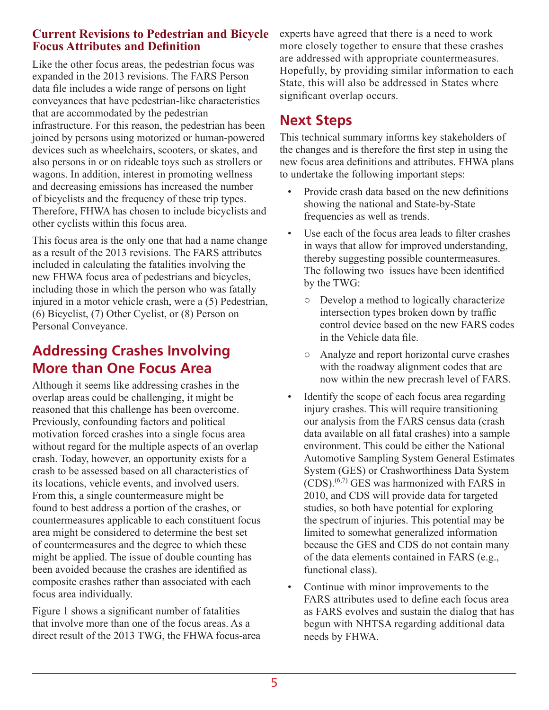#### **Current Revisions to Pedestrian and Bicycle Focus Attributes and Definition**

Like the other focus areas, the pedestrian focus was expanded in the 2013 revisions. The FARS Person data file includes a wide range of persons on light conveyances that have pedestrian-like characteristics that are accommodated by the pedestrian infrastructure. For this reason, the pedestrian has been joined by persons using motorized or human-powered devices such as wheelchairs, scooters, or skates, and also persons in or on rideable toys such as strollers or wagons. In addition, interest in promoting wellness and decreasing emissions has increased the number of bicyclists and the frequency of these trip types. Therefore, FHWA has chosen to include bicyclists and other cyclists within this focus area.

This focus area is the only one that had a name change as a result of the 2013 revisions. The FARS attributes included in calculating the fatalities involving the new FHWA focus area of pedestrians and bicycles, including those in which the person who was fatally injured in a motor vehicle crash, were a (5) Pedestrian, (6) Bicyclist, (7) Other Cyclist, or (8) Person on Personal Conveyance.

### **Addressing Crashes Involving More than One Focus Area**

Although it seems like addressing crashes in the overlap areas could be challenging, it might be reasoned that this challenge has been overcome. Previously, confounding factors and political motivation forced crashes into a single focus area without regard for the multiple aspects of an overlap crash. Today, however, an opportunity exists for a crash to be assessed based on all characteristics of its locations, vehicle events, and involved users. From this, a single countermeasure might be found to best address a portion of the crashes, or countermeasures applicable to each constituent focus area might be considered to determine the best set of countermeasures and the degree to which these might be applied. The issue of double counting has been avoided because the crashes are identified as composite crashes rather than associated with each focus area individually.

Figure 1 shows a significant number of fatalities that involve more than one of the focus areas. As a direct result of the 2013 TWG, the FHWA focus-area experts have agreed that there is a need to work more closely together to ensure that these crashes are addressed with appropriate countermeasures. Hopefully, by providing similar information to each State, this will also be addressed in States where significant overlap occurs.

### **Next Steps**

This technical summary informs key stakeholders of the changes and is therefore the first step in using the new focus area definitions and attributes. FHWA plans to undertake the following important steps:

- Provide crash data based on the new definitions showing the national and State-by-State frequencies as well as trends.
- Use each of the focus area leads to filter crashes in ways that allow for improved understanding, thereby suggesting possible countermeasures. The following two issues have been identified by the TWG:
	- Develop a method to logically characterize intersection types broken down by traffic control device based on the new FARS codes in the Vehicle data file.
	- Analyze and report horizontal curve crashes with the roadway alignment codes that are now within the new precrash level of FARS.
- Identify the scope of each focus area regarding injury crashes. This will require transitioning our analysis from the FARS census data (crash data available on all fatal crashes) into a sample environment. This could be either the National Automotive Sampling System General Estimates System (GES) or Crashworthiness Data System  $(CDS)$ .<sup> $(6,7)$ </sup> GES was harmonized with FARS in 2010, and CDS will provide data for targeted studies, so both have potential for exploring the spectrum of injuries. This potential may be limited to somewhat generalized information because the GES and CDS do not contain many of the data elements contained in FARS (e.g., functional class).
- Continue with minor improvements to the FARS attributes used to define each focus area as FARS evolves and sustain the dialog that has begun with NHTSA regarding additional data needs by FHWA.